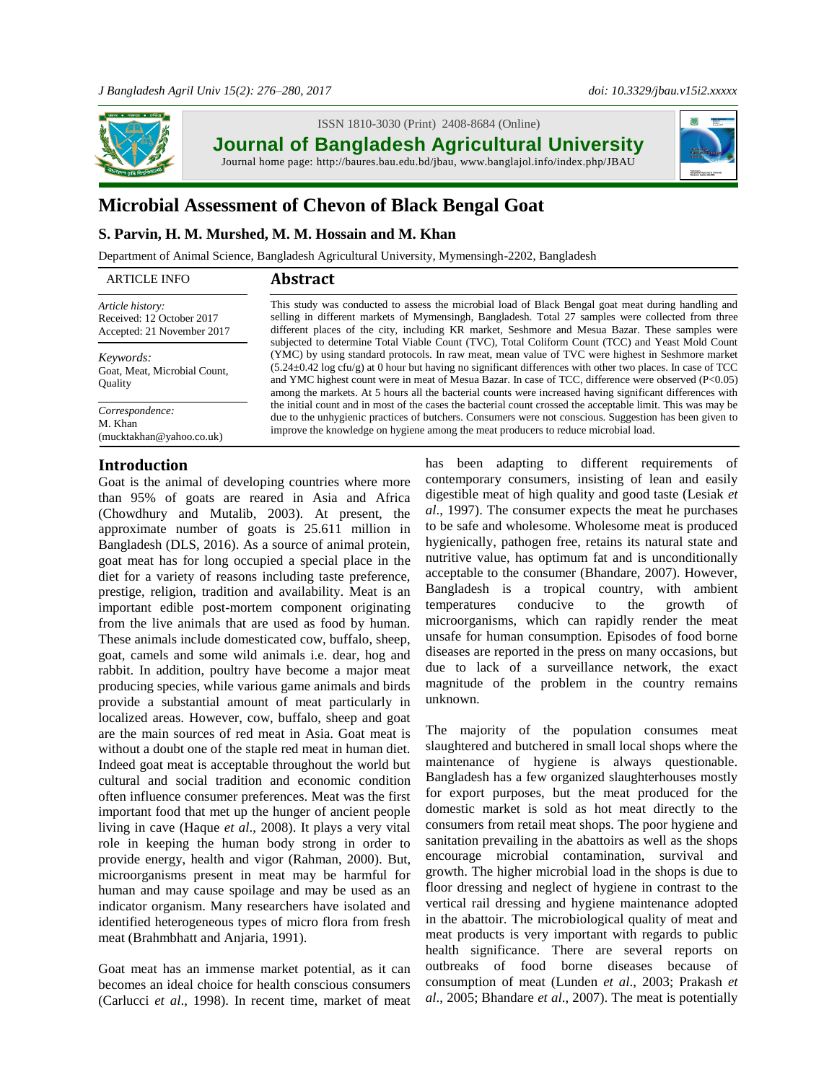

ISSN 1810-3030 (Print)2408-8684 (Online)

**Journal of Bangladesh Agricultural University**

Journal home page: [http://baures.bau.edu.bd/jbau,](http://baures.bau.edu.bd/jbau) www.banglajol.info/index.php/JBAU



# **Microbial Assessment of Chevon of Black Bengal Goat**

## **S. Parvin, H. M. Murshed, M. M. Hossain and M. Khan**

Department of Animal Science, Bangladesh Agricultural University, Mymensingh-2202, Bangladesh

| <b>ARTICLE INFO</b>                                                         | <b>Abstract</b>                                                                                                                                                                                                                                                                                                                                                                                                                                   |
|-----------------------------------------------------------------------------|---------------------------------------------------------------------------------------------------------------------------------------------------------------------------------------------------------------------------------------------------------------------------------------------------------------------------------------------------------------------------------------------------------------------------------------------------|
| Article history:<br>Received: 12 October 2017<br>Accepted: 21 November 2017 | This study was conducted to assess the microbial load of Black Bengal goat meat during handling and<br>selling in different markets of Mymensingh, Bangladesh. Total 27 samples were collected from three<br>different places of the city, including KR market, Seshmore and Mesua Bazar. These samples were<br>subjected to determine Total Viable Count (TVC), Total Coliform Count (TCC) and Yeast Mold Count                                  |
| Keywords:<br>Goat, Meat, Microbial Count,<br><b>Ouality</b>                 | (YMC) by using standard protocols. In raw meat, mean value of TVC were highest in Seshmore market<br>$(5.24\pm0.42 \log \text{cfu/g})$ at 0 hour but having no significant differences with other two places. In case of TCC<br>and YMC highest count were in meat of Mesua Bazar. In case of TCC, difference were observed (P<0.05)<br>among the markets. At 5 hours all the bacterial counts were increased having significant differences with |
| Correspondence:<br>M. Khan<br>(mucktakhan@yahoo.co.uk)                      | the initial count and in most of the cases the bacterial count crossed the acceptable limit. This was may be<br>due to the unhygienic practices of butchers. Consumers were not conscious. Suggestion has been given to<br>improve the knowledge on hygiene among the meat producers to reduce microbial load.                                                                                                                                    |

## **Introduction**

Goat is the animal of developing countries where more than 95% of goats are reared in Asia and Africa (Chowdhury and Mutalib, 2003). At present, the approximate number of goats is 25.611 million in Bangladesh (DLS, 2016). As a source of animal protein, goat meat has for long occupied a special place in the diet for a variety of reasons including taste preference, prestige, religion, tradition and availability. Meat is an important edible post-mortem component originating from the live animals that are used as food by human. These animals include domesticated cow, buffalo, sheep, goat, camels and some wild animals i.e. dear, hog and rabbit. In addition, poultry have become a major meat producing species, while various game animals and birds provide a substantial amount of meat particularly in localized areas. However, cow, buffalo, sheep and goat are the main sources of red meat in Asia. Goat meat is without a doubt one of the staple red meat in human diet. Indeed goat meat is acceptable throughout the world but cultural and social tradition and economic condition often influence consumer preferences. Meat was the first important food that met up the hunger of ancient people living in cave (Haque *et al*., 2008). It plays a very vital role in keeping the human body strong in order to provide energy, health and vigor (Rahman, 2000). But, microorganisms present in meat may be harmful for human and may cause spoilage and may be used as an indicator organism. Many researchers have isolated and identified heterogeneous types of micro flora from fresh meat (Brahmbhatt and Anjaria, 1991).

Goat meat has an immense market potential, as it can becomes an ideal choice for health conscious consumers (Carlucci *et al*., 1998). In recent time, market of meat has been adapting to different requirements of contemporary consumers, insisting of lean and easily digestible meat of high quality and good taste (Lesiak *et al*., 1997). The consumer expects the meat he purchases to be safe and wholesome. Wholesome meat is produced hygienically, pathogen free, retains its natural state and nutritive value, has optimum fat and is unconditionally acceptable to the consumer (Bhandare, 2007). However, Bangladesh is a tropical country, with ambient temperatures conducive to the growth of microorganisms, which can rapidly render the meat unsafe for human consumption. Episodes of food borne diseases are reported in the press on many occasions, but due to lack of a surveillance network, the exact magnitude of the problem in the country remains unknown.

The majority of the population consumes meat slaughtered and butchered in small local shops where the maintenance of hygiene is always questionable. Bangladesh has a few organized slaughterhouses mostly for export purposes, but the meat produced for the domestic market is sold as hot meat directly to the consumers from retail meat shops. The poor hygiene and sanitation prevailing in the abattoirs as well as the shops encourage microbial contamination, survival and growth. The higher microbial load in the shops is due to floor dressing and neglect of hygiene in contrast to the vertical rail dressing and hygiene maintenance adopted in the abattoir. The microbiological quality of meat and meat products is very important with regards to public health significance. There are several reports on outbreaks of food borne diseases because of consumption of meat (Lunden *et al*., 2003; Prakash *et al*., 2005; Bhandare *et al*., 2007). The meat is potentially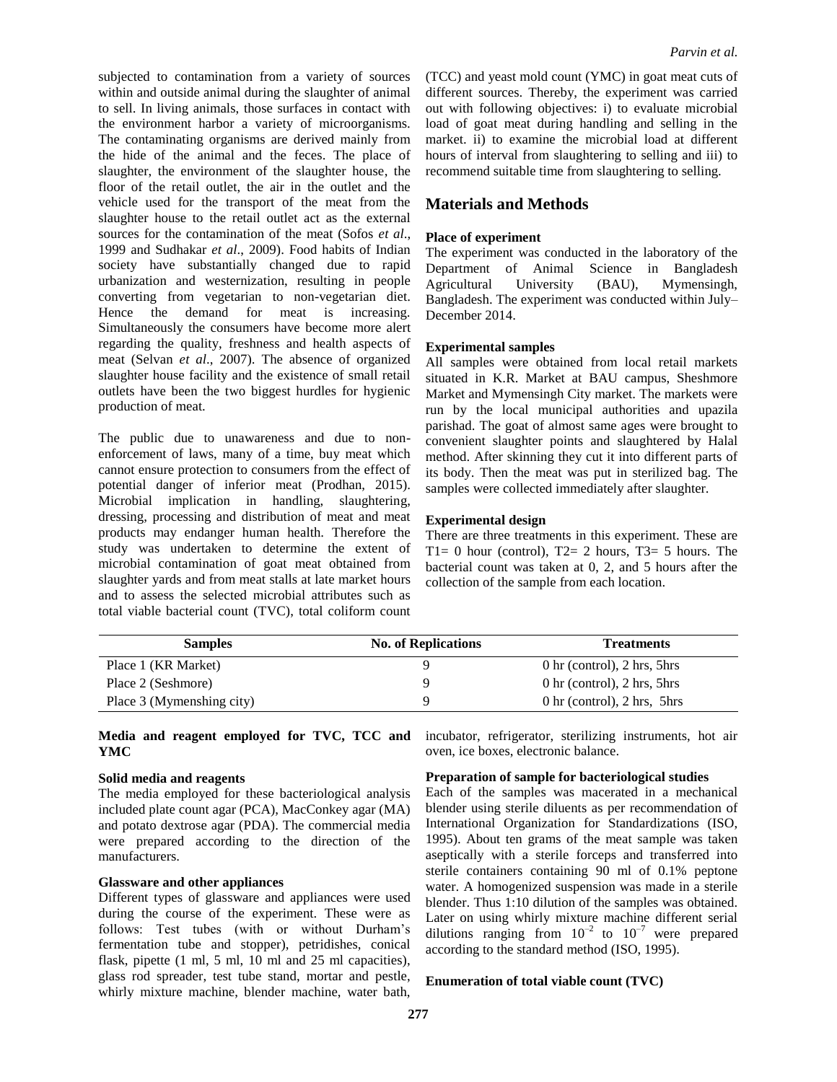subjected to contamination from a variety of sources within and outside animal during the slaughter of animal to sell. In living animals, those surfaces in contact with the environment harbor a variety of microorganisms. The contaminating organisms are derived mainly from the hide of the animal and the feces. The place of slaughter, the environment of the slaughter house, the floor of the retail outlet, the air in the outlet and the vehicle used for the transport of the meat from the slaughter house to the retail outlet act as the external sources for the contamination of the meat (Sofos *et al*., 1999 and Sudhakar *et al*., 2009). Food habits of Indian society have substantially changed due to rapid urbanization and westernization, resulting in people converting from vegetarian to non-vegetarian diet. Hence the demand for meat is increasing. Simultaneously the consumers have become more alert regarding the quality, freshness and health aspects of meat (Selvan *et al*., 2007). The absence of organized slaughter house facility and the existence of small retail outlets have been the two biggest hurdles for hygienic production of meat.

The public due to unawareness and due to nonenforcement of laws, many of a time, buy meat which cannot ensure protection to consumers from the effect of potential danger of inferior meat (Prodhan, 2015). Microbial implication in handling, slaughtering, dressing, processing and distribution of meat and meat products may endanger human health. Therefore the study was undertaken to determine the extent of microbial contamination of goat meat obtained from slaughter yards and from meat stalls at late market hours and to assess the selected microbial attributes such as total viable bacterial count (TVC), total coliform count

(TCC) and yeast mold count (YMC) in goat meat cuts of different sources. Thereby, the experiment was carried out with following objectives: i) to evaluate microbial load of goat meat during handling and selling in the market. ii) to examine the microbial load at different hours of interval from slaughtering to selling and iii) to recommend suitable time from slaughtering to selling.

# **Materials and Methods**

#### **Place of experiment**

The experiment was conducted in the laboratory of the Department of Animal Science in Bangladesh Agricultural University (BAU), Mymensingh, Bangladesh. The experiment was conducted within July– December 2014.

#### **Experimental samples**

All samples were obtained from local retail markets situated in K.R. Market at BAU campus, Sheshmore Market and Mymensingh City market. The markets were run by the local municipal authorities and upazila parishad. The goat of almost same ages were brought to convenient slaughter points and slaughtered by Halal method. After skinning they cut it into different parts of its body. Then the meat was put in sterilized bag. The samples were collected immediately after slaughter.

#### **Experimental design**

There are three treatments in this experiment. These are  $T1= 0$  hour (control),  $T2= 2$  hours,  $T3= 5$  hours. The bacterial count was taken at 0, 2, and 5 hours after the collection of the sample from each location.

| <b>Samples</b>            | <b>No. of Replications</b> | <b>Treatments</b>                                           |
|---------------------------|----------------------------|-------------------------------------------------------------|
| Place 1 (KR Market)       |                            | $0 \text{ hr}$ (control), $2 \text{ hrs}$ , $5 \text{ hrs}$ |
| Place 2 (Seshmore)        | 9                          | $0 \text{ hr}$ (control), $2 \text{ hrs}$ , $5 \text{ hrs}$ |
| Place 3 (Mymenshing city) | Q                          | $0 \text{ hr}$ (control), $2 \text{ hrs}$ , $5 \text{ hrs}$ |

#### **Media and reagent employed for TVC, TCC and YMC**

#### **Solid media and reagents**

The media employed for these bacteriological analysis included plate count agar (PCA), MacConkey agar (MA) and potato dextrose agar (PDA). The commercial media were prepared according to the direction of the manufacturers.

#### **Glassware and other appliances**

Different types of glassware and appliances were used during the course of the experiment. These were as follows: Test tubes (with or without Durham's fermentation tube and stopper), petridishes, conical flask, pipette (1 ml, 5 ml, 10 ml and 25 ml capacities), glass rod spreader, test tube stand, mortar and pestle, whirly mixture machine, blender machine, water bath,

incubator, refrigerator, sterilizing instruments, hot air oven, ice boxes, electronic balance.

#### **Preparation of sample for bacteriological studies**

Each of the samples was macerated in a mechanical blender using sterile diluents as per recommendation of International Organization for Standardizations (ISO, 1995). About ten grams of the meat sample was taken aseptically with a sterile forceps and transferred into sterile containers containing 90 ml of 0.1% peptone water. A homogenized suspension was made in a sterile blender. Thus 1:10 dilution of the samples was obtained. Later on using whirly mixture machine different serial dilutions ranging from  $10^{-2}$  to  $10^{-7}$  were prepared according to the standard method (ISO, 1995).

#### **Enumeration of total viable count (TVC)**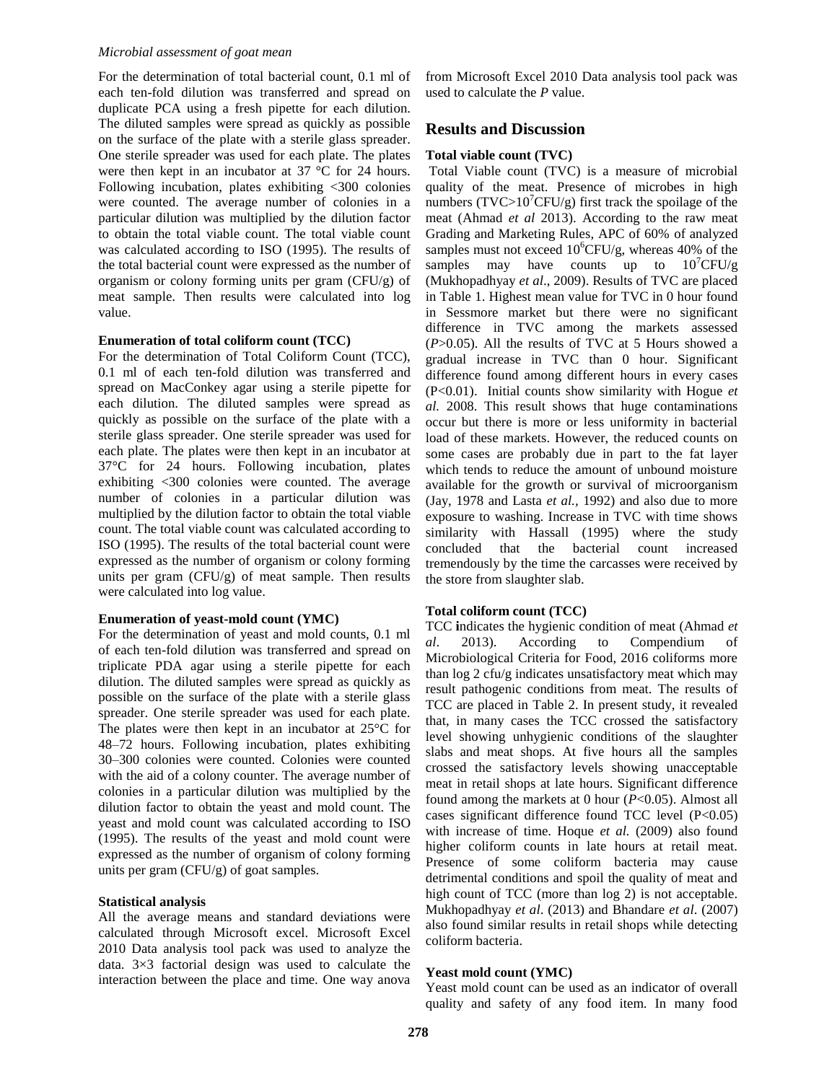## *Microbial assessment of goat mean*

For the determination of total bacterial count, 0.1 ml of each ten-fold dilution was transferred and spread on duplicate PCA using a fresh pipette for each dilution. The diluted samples were spread as quickly as possible on the surface of the plate with a sterile glass spreader. One sterile spreader was used for each plate. The plates were then kept in an incubator at 37 °C for 24 hours. Following incubation, plates exhibiting <300 colonies were counted. The average number of colonies in a particular dilution was multiplied by the dilution factor to obtain the total viable count. The total viable count was calculated according to ISO (1995). The results of the total bacterial count were expressed as the number of organism or colony forming units per gram  $(CFU/g)$  of meat sample. Then results were calculated into log value.

#### **Enumeration of total coliform count (TCC)**

For the determination of Total Coliform Count (TCC), 0.1 ml of each ten-fold dilution was transferred and spread on MacConkey agar using a sterile pipette for each dilution. The diluted samples were spread as quickly as possible on the surface of the plate with a sterile glass spreader. One sterile spreader was used for each plate. The plates were then kept in an incubator at 37°C for 24 hours. Following incubation, plates exhibiting <300 colonies were counted. The average number of colonies in a particular dilution was multiplied by the dilution factor to obtain the total viable count. The total viable count was calculated according to ISO (1995). The results of the total bacterial count were expressed as the number of organism or colony forming units per gram  $(CFU/g)$  of meat sample. Then results were calculated into log value.

#### **Enumeration of yeast-mold count (YMC)**

For the determination of yeast and mold counts, 0.1 ml of each ten-fold dilution was transferred and spread on triplicate PDA agar using a sterile pipette for each dilution. The diluted samples were spread as quickly as possible on the surface of the plate with a sterile glass spreader. One sterile spreader was used for each plate. The plates were then kept in an incubator at 25°C for 48–72 hours. Following incubation, plates exhibiting 30–300 colonies were counted. Colonies were counted with the aid of a colony counter. The average number of colonies in a particular dilution was multiplied by the dilution factor to obtain the yeast and mold count. The yeast and mold count was calculated according to ISO (1995). The results of the yeast and mold count were expressed as the number of organism of colony forming units per gram (CFU/g) of goat samples.

#### **Statistical analysis**

All the average means and standard deviations were calculated through Microsoft excel. Microsoft Excel 2010 Data analysis tool pack was used to analyze the data. 3×3 factorial design was used to calculate the interaction between the place and time. One way anova

from Microsoft Excel 2010 Data analysis tool pack was used to calculate the *P* value.

## **Results and Discussion**

### **Total viable count (TVC)**

Total Viable count (TVC) is a measure of microbial quality of the meat. Presence of microbes in high numbers (TVC>10<sup>7</sup>CFU/g) first track the spoilage of the meat (Ahmad *et al* 2013). According to the raw meat Grading and Marketing Rules, APC of 60% of analyzed samples must not exceed  $10^6$ CFU/g, whereas 40% of the samples may have counts up to  $10^7$ CFU/g (Mukhopadhyay *et al*., 2009). Results of TVC are placed in Table 1. Highest mean value for TVC in 0 hour found in Sessmore market but there were no significant difference in TVC among the markets assessed (*P*>0.05). All the results of TVC at 5 Hours showed a gradual increase in TVC than 0 hour. Significant difference found among different hours in every cases (P<0.01). Initial counts show similarity with Hogue *et al.* 2008. This result shows that huge contaminations occur but there is more or less uniformity in bacterial load of these markets. However, the reduced counts on some cases are probably due in part to the fat layer which tends to reduce the amount of unbound moisture available for the growth or survival of microorganism (Jay, 1978 and Lasta *et al.,* 1992) and also due to more exposure to washing. Increase in TVC with time shows similarity with Hassall (1995) where the study concluded that the bacterial count increased tremendously by the time the carcasses were received by the store from slaughter slab.

#### **Total coliform count (TCC)**

TCC **i**ndicates the hygienic condition of meat (Ahmad *et al*. 2013). According to Compendium of Microbiological Criteria for Food, 2016 coliforms more than log 2 cfu/g indicates unsatisfactory meat which may result pathogenic conditions from meat. The results of TCC are placed in Table 2. In present study, it revealed that, in many cases the TCC crossed the satisfactory level showing unhygienic conditions of the slaughter slabs and meat shops. At five hours all the samples crossed the satisfactory levels showing unacceptable meat in retail shops at late hours. Significant difference found among the markets at 0 hour (*P*<0.05). Almost all cases significant difference found TCC level  $(P<0.05)$ with increase of time. Hoque *et al.* (2009) also found higher coliform counts in late hours at retail meat. Presence of some coliform bacteria may cause detrimental conditions and spoil the quality of meat and high count of TCC (more than log 2) is not acceptable. Mukhopadhyay *et al*. (2013) and Bhandare *et al*. (2007) also found similar results in retail shops while detecting coliform bacteria.

#### **Yeast mold count (YMC)**

Yeast mold count can be used as an indicator of overall quality and safety of any food item. In many food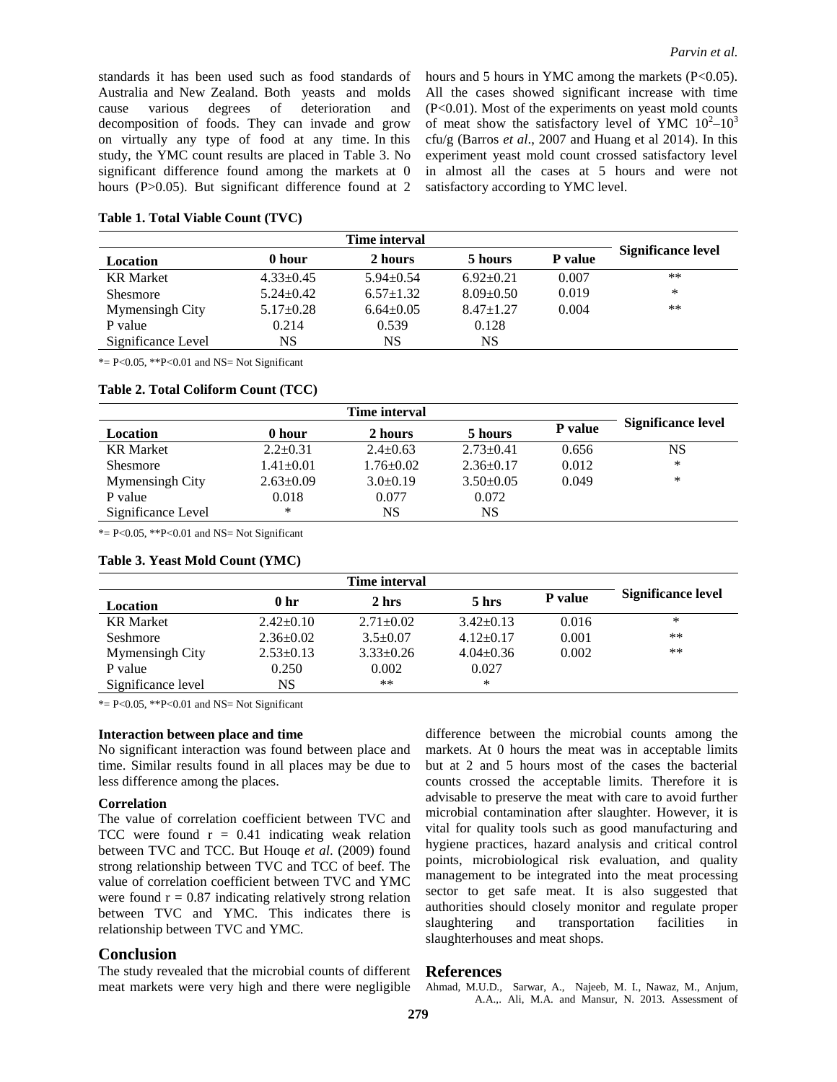standards it has been used such as food standards of Australia and New Zealand. Both yeasts and molds cause various degrees of deterioration and decomposition of foods. They can invade and grow on virtually any type of food at any time. In this study, the YMC count results are placed in Table 3. No significant difference found among the markets at 0 hours (P>0.05). But significant difference found at 2 hours and 5 hours in YMC among the markets (P<0.05). All the cases showed significant increase with time  $(P<0.01)$ . Most of the experiments on yeast mold counts of meat show the satisfactory level of YMC  $10^2 - 10^3$ cfu/g (Barros *et al*., 2007 and Huang et al 2014). In this experiment yeast mold count crossed satisfactory level in almost all the cases at 5 hours and were not satisfactory according to YMC level.

| Table 1. Total Viable Count (TVC) |  |  |
|-----------------------------------|--|--|
|-----------------------------------|--|--|

|                    |                 | Time interval   |                 |                |                    |
|--------------------|-----------------|-----------------|-----------------|----------------|--------------------|
| Location           | 0 hour          | 2 hours         | 5 hours         | <b>P</b> value | Significance level |
| <b>KR</b> Market   | $4.33 \pm 0.45$ | $5.94 \pm 0.54$ | $6.92 \pm 0.21$ | 0.007          | $***$              |
| <b>Shesmore</b>    | $5.24 \pm 0.42$ | $6.57 \pm 1.32$ | $8.09 \pm 0.50$ | 0.019          | *                  |
| Mymensingh City    | $5.17 \pm 0.28$ | $6.64 \pm 0.05$ | $8.47 \pm 1.27$ | 0.004          | **                 |
| P value            | 0.214           | 0.539           | 0.128           |                |                    |
| Significance Level | NS              | NS              | NS              |                |                    |

 $* = P < 0.05$ ,  $* P < 0.01$  and NS = Not Significant

## **Table 2. Total Coliform Count (TCC)**

|                    |                 | Time interval   |                 |         |                           |
|--------------------|-----------------|-----------------|-----------------|---------|---------------------------|
| Location           | 0 hour          | 2 hours         | 5 hours         | P value | <b>Significance level</b> |
| <b>KR</b> Market   | $2.2 \pm 0.31$  | $2.4 \pm 0.63$  | $2.73 \pm 0.41$ | 0.656   | NS                        |
| <b>Shesmore</b>    | $1.41 \pm 0.01$ | $1.76 \pm 0.02$ | $2.36+0.17$     | 0.012   | ∗                         |
| Mymensingh City    | $2.63 \pm 0.09$ | $3.0 \pm 0.19$  | $3.50+0.05$     | 0.049   | ∗                         |
| P value            | 0.018           | 0.077           | 0.072           |         |                           |
| Significance Level | *               | NS              | NS              |         |                           |

 $* = P < 0.05$ ,  $* P < 0.01$  and NS = Not Significant

| Table 3. Yeast Mold Count (YMC) |  |  |  |  |
|---------------------------------|--|--|--|--|
|---------------------------------|--|--|--|--|

|                    |                 | Time interval   |                 |                |                    |
|--------------------|-----------------|-----------------|-----------------|----------------|--------------------|
| Location           | 0 <sub>hr</sub> | 2 hrs           | 5 hrs           | <b>P</b> value | Significance level |
| <b>KR</b> Market   | $2.42 \pm 0.10$ | $2.71 \pm 0.02$ | $3.42+0.13$     | 0.016          | ∗                  |
| Seshmore           | $2.36 \pm 0.02$ | $3.5 \pm 0.07$  | $4.12+0.17$     | 0.001          | $***$              |
| Mymensingh City    | $2.53 \pm 0.13$ | $3.33 \pm 0.26$ | $4.04 \pm 0.36$ | 0.002          | **                 |
| P value            | 0.250           | 0.002           | 0.027           |                |                    |
| Significance level | NS              | $***$           | *               |                |                    |

 $* = P < 0.05$ ,  $* P < 0.01$  and NS = Not Significant

## **Interaction between place and time**

No significant interaction was found between place and time. Similar results found in all places may be due to less difference among the places.

#### **Correlation**

The value of correlation coefficient between TVC and TCC were found  $r = 0.41$  indicating weak relation between TVC and TCC. But Houqe *et al*. (2009) found strong relationship between TVC and TCC of beef. The value of correlation coefficient between TVC and YMC were found  $r = 0.87$  indicating relatively strong relation between TVC and YMC. This indicates there is relationship between TVC and YMC.

## **Conclusion**

The study revealed that the microbial counts of different meat markets were very high and there were negligible

difference between the microbial counts among the markets. At 0 hours the meat was in acceptable limits but at 2 and 5 hours most of the cases the bacterial counts crossed the acceptable limits. Therefore it is advisable to preserve the meat with care to avoid further microbial contamination after slaughter. However, it is vital for quality tools such as good manufacturing and hygiene practices, hazard analysis and critical control points, microbiological risk evaluation, and quality management to be integrated into the meat processing sector to get safe meat. It is also suggested that authorities should closely monitor and regulate proper slaughtering and transportation facilities in slaughterhouses and meat shops.

## **References**

Ahmad, M.U.D., Sarwar, A., Najeeb, M. I., Nawaz, M., Anjum, A.A.,. Ali, M.A. and Mansur, N. 2013. Assessment of